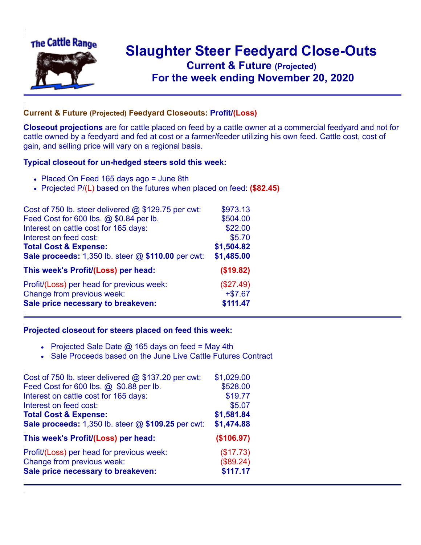

## **Slaughter Steer Feedyard Close-Outs Current & Future (Projected)** .**For the week ending November 20, 2020**

## **Current & Future (Projected) Feedyard Closeouts: Profit/(Loss)**

**Closeout projections** are for cattle placed on feed by a cattle owner at a commercial feedyard and not for cattle owned by a feedyard and fed at cost or a farmer/feeder utilizing his own feed. Cattle cost, cost of gain, and selling price will vary on a regional basis.

## **Typical closeout for un-hedged steers sold this week:**

- Placed On Feed 165 days ago = June 8th
- Projected P/(L) based on the futures when placed on feed: **(\$82.45)**

| Cost of 750 lb. steer delivered @ \$129.75 per cwt:    | \$973.13   |
|--------------------------------------------------------|------------|
| Feed Cost for 600 lbs. @ \$0.84 per lb.                | \$504.00   |
| Interest on cattle cost for 165 days:                  | \$22.00    |
| Interest on feed cost:                                 | \$5.70     |
| <b>Total Cost &amp; Expense:</b>                       | \$1,504.82 |
| Sale proceeds: $1,350$ lb. steer $@$ \$110.00 per cwt: | \$1,485.00 |
| This week's Profit/(Loss) per head:                    | (\$19.82)  |
| Profit/(Loss) per head for previous week:              | (\$27.49)  |
| Change from previous week:                             | $+ $7.67$  |
| Sale price necessary to breakeven:                     | \$111.47   |

## **Projected closeout for steers placed on feed this week:**

- Projected Sale Date  $@$  165 days on feed = May 4th
- Sale Proceeds based on the June Live Cattle Futures Contract

| Cost of 750 lb. steer delivered $@$ \$137.20 per cwt: | \$1,029.00 |
|-------------------------------------------------------|------------|
| Feed Cost for 600 lbs. @ \$0.88 per lb.               | \$528.00   |
| Interest on cattle cost for 165 days:                 | \$19.77    |
| Interest on feed cost:                                | \$5.07     |
| <b>Total Cost &amp; Expense:</b>                      | \$1,581.84 |
| Sale proceeds: 1,350 lb. steer @ \$109.25 per cwt:    | \$1,474.88 |
| This week's Profit/(Loss) per head:                   | (\$106.97) |
| Profit/(Loss) per head for previous week:             | (\$17.73)  |
| Change from previous week:                            | (\$89.24)  |
| Sale price necessary to breakeven:                    | \$117.17   |